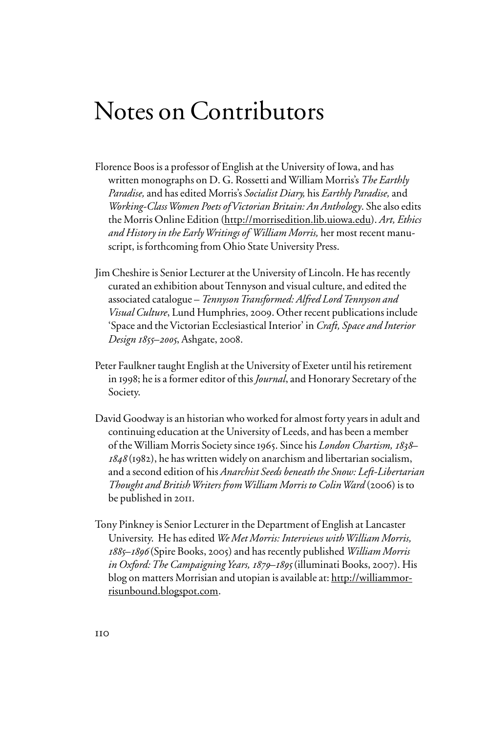## Notes on Contributors

- Florence Boos is a professor of English at the University of Iowa, and has written monographs on D. G. Rossetti and William Morris's *The Earthly Paradise,* and has edited Morris's *Socialist Diary,* his *Earthly Paradise,* and *Working-Class Women Poets of Victorian Britain: An Anthology*. She also edits the Morris Online Edition (http://morrisedition.lib.uiowa.edu). *Art, Ethics and History in the Early Writings of William Morris,* her most recent manuscript, is forthcoming from Ohio State University Press.
- Jim Cheshire is Senior Lecturer at the University of Lincoln. He has recently curated an exhibition about Tennyson and visual culture, and edited the associated catalogue – *Tennyson Transformed: Alfred Lord Tennyson and Visual Culture*, Lund Humphries, 2009. Other recent publications include 'Space and the Victorian Ecclesiastical Interior' in *Craft, Space and Interior Design 1855–2005*, Ashgate, 2008.
- Peter Faulkner taught English at the University of Exeter until his retirement in 1998; he is a former editor of this *Journal*, and Honorary Secretary of the Society.
- David Goodway is an historian who worked for almost forty years in adult and continuing education at the University of Leeds, and has been a member of the William Morris Society since 1965. Since his *London Chartism, 1838– 1848* (1982), he has written widely on anarchism and libertarian socialism, and a second edition of his *Anarchist Seeds beneath the Snow: Left-Libertarian Thought and British Writers from William Morris to Colin Ward* (2006) is to be published in 2011.
- Tony Pinkney is Senior Lecturer in the Department of English at Lancaster University. He has edited *We Met Morris: Interviews with William Morris, 1885–1896* (Spire Books, 2005) and has recently published *William Morris in Oxford: The Campaigning Years, 1879–1895* (illuminati Books, 2007). His blog on matters Morrisian and utopian is available at: http://williammorrisunbound.blogspot.com.